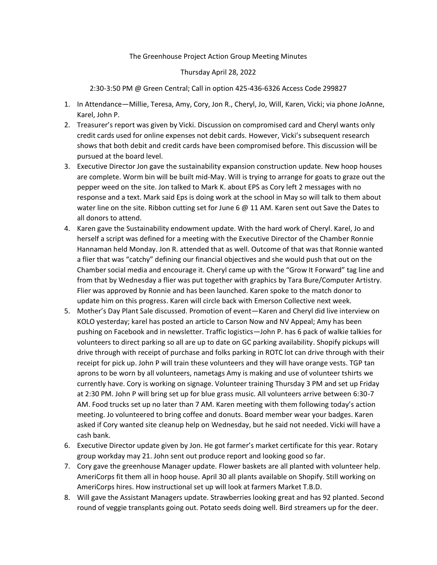## The Greenhouse Project Action Group Meeting Minutes

## Thursday April 28, 2022

2:30-3:50 PM @ Green Central; Call in option 425-436-6326 Access Code 299827

- 1. In Attendance—Millie, Teresa, Amy, Cory, Jon R., Cheryl, Jo, Will, Karen, Vicki; via phone JoAnne, Karel, John P.
- 2. Treasurer's report was given by Vicki. Discussion on compromised card and Cheryl wants only credit cards used for online expenses not debit cards. However, Vicki's subsequent research shows that both debit and credit cards have been compromised before. This discussion will be pursued at the board level.
- 3. Executive Director Jon gave the sustainability expansion construction update. New hoop houses are complete. Worm bin will be built mid-May. Will is trying to arrange for goats to graze out the pepper weed on the site. Jon talked to Mark K. about EPS as Cory left 2 messages with no response and a text. Mark said Eps is doing work at the school in May so will talk to them about water line on the site. Ribbon cutting set for June 6  $@$  11 AM. Karen sent out Save the Dates to all donors to attend.
- 4. Karen gave the Sustainability endowment update. With the hard work of Cheryl. Karel, Jo and herself a script was defined for a meeting with the Executive Director of the Chamber Ronnie Hannaman held Monday. Jon R. attended that as well. Outcome of that was that Ronnie wanted a flier that was "catchy" defining our financial objectives and she would push that out on the Chamber social media and encourage it. Cheryl came up with the "Grow It Forward" tag line and from that by Wednesday a flier was put together with graphics by Tara Bure/Computer Artistry. Flier was approved by Ronnie and has been launched. Karen spoke to the match donor to update him on this progress. Karen will circle back with Emerson Collective next week.
- 5. Mother's Day Plant Sale discussed. Promotion of event—Karen and Cheryl did live interview on KOLO yesterday; karel has posted an article to Carson Now and NV Appeal; Amy has been pushing on Facebook and in newsletter. Traffic logistics—John P. has 6 pack of walkie talkies for volunteers to direct parking so all are up to date on GC parking availability. Shopify pickups will drive through with receipt of purchase and folks parking in ROTC lot can drive through with their receipt for pick up. John P will train these volunteers and they will have orange vests. TGP tan aprons to be worn by all volunteers, nametags Amy is making and use of volunteer tshirts we currently have. Cory is working on signage. Volunteer training Thursday 3 PM and set up Friday at 2:30 PM. John P will bring set up for blue grass music. All volunteers arrive between 6:30-7 AM. Food trucks set up no later than 7 AM. Karen meeting with them following today's action meeting. Jo volunteered to bring coffee and donuts. Board member wear your badges. Karen asked if Cory wanted site cleanup help on Wednesday, but he said not needed. Vicki will have a cash bank.
- 6. Executive Director update given by Jon. He got farmer's market certificate for this year. Rotary group workday may 21. John sent out produce report and looking good so far.
- 7. Cory gave the greenhouse Manager update. Flower baskets are all planted with volunteer help. AmeriCorps fit them all in hoop house. April 30 all plants available on Shopify. Still working on AmeriCorps hires. How instructional set up will look at farmers Market T.B.D.
- 8. Will gave the Assistant Managers update. Strawberries looking great and has 92 planted. Second round of veggie transplants going out. Potato seeds doing well. Bird streamers up for the deer.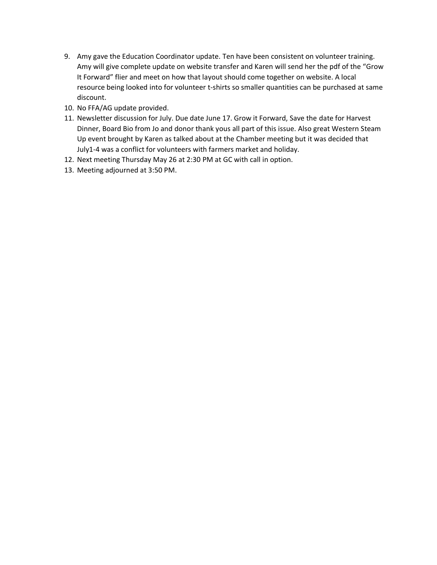- 9. Amy gave the Education Coordinator update. Ten have been consistent on volunteer training. Amy will give complete update on website transfer and Karen will send her the pdf of the "Grow It Forward" flier and meet on how that layout should come together on website. A local resource being looked into for volunteer t-shirts so smaller quantities can be purchased at same discount.
- 10. No FFA/AG update provided.
- 11. Newsletter discussion for July. Due date June 17. Grow it Forward, Save the date for Harvest Dinner, Board Bio from Jo and donor thank yous all part of this issue. Also great Western Steam Up event brought by Karen as talked about at the Chamber meeting but it was decided that July1-4 was a conflict for volunteers with farmers market and holiday.
- 12. Next meeting Thursday May 26 at 2:30 PM at GC with call in option.
- 13. Meeting adjourned at 3:50 PM.